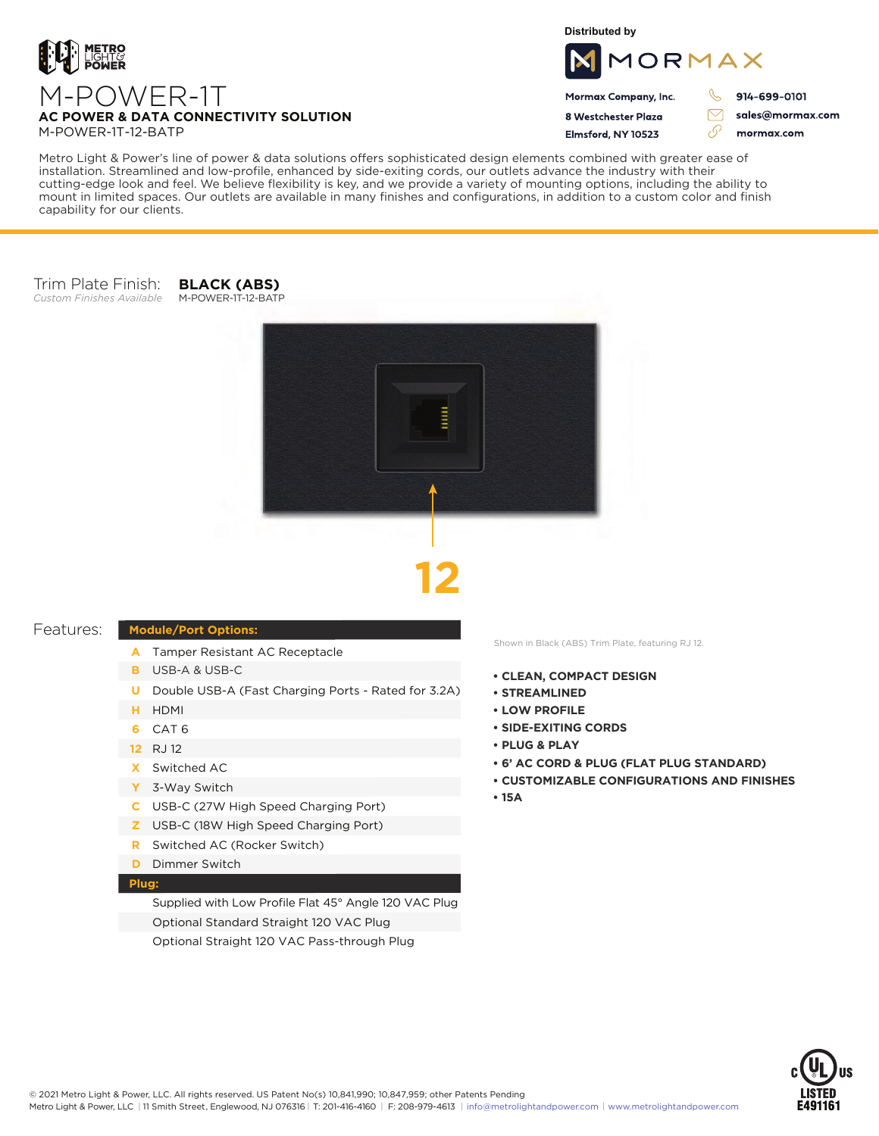

**Distributed by**



Mormax Company, Inc. 8 Westchester Plaza Elmsford, NY 10523

914-699-0101

 $\triangledown$ 

76

sales@mormax.com mormax.com

Metro Light & Power's line of power & data solutions offers sophisticated design elements combined with greater ease of installation. Streamlined and low-profile, enhanced by side-exiting cords, our outlets advance the industry with their cutting-edge look and feel. We believe flexibility is key, and we provide a variety of mounting options, including the ability to mount in limited spaces. Our outlets are available in many finishes and configurations, in addition to a custom color and finish capability for our clients.

#### Trim Plate Finish: *Custom Finishes Available*

**BLACK (ABS)** M-POWER-1T-12-BATP





#### Features:

### **Module/Port Options:**

- A Tamper Resistant AC Receptacle
- USB-A & USB-C **B**
- U Double USB-A (Fast Charging Ports Rated for 3.2A)
- HDMI **H**
- CAT 6 **6**
- 12 RJ 12
- Switched AC **X**
- 3-Way Switch **Y**
- USB-C (27W High Speed Charging Port) **C**
- USB-C (18W High Speed Charging Port) **Z**
- Switched AC (Rocker Switch) **R**
- **D** Dimmer Switch

## **Plug:**

Supplied with Low Profile Flat 45° Angle 120 VAC Plug Optional Standard Straight 120 VAC Plug Optional Straight 120 VAC Pass-through Plug

Shown in Black (ABS) Trim Plate, featuring RJ 12.

- **• CLEAN, COMPACT DESIGN**
- **• STREAMLINED**
- **LOW PROFILE**
- **• SIDE-EXITING CORDS**
- **• PLUG & PLAY**
- **• 6' AC CORD & PLUG (FLAT PLUG STANDARD)**
- **• CUSTOMIZABLE CONFIGURATIONS AND FINISHES**
- **• 15A**